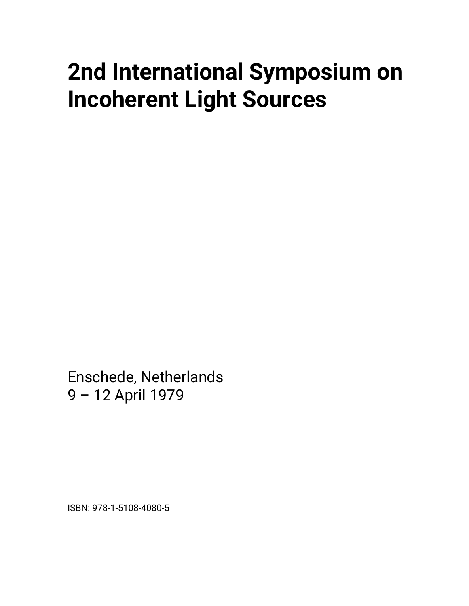# **2nd International Symposium on Incoherent Light Sources**

Enschede, Netherlands 9 – 12 April 1979

ISBN: 978-1-5108-4080-5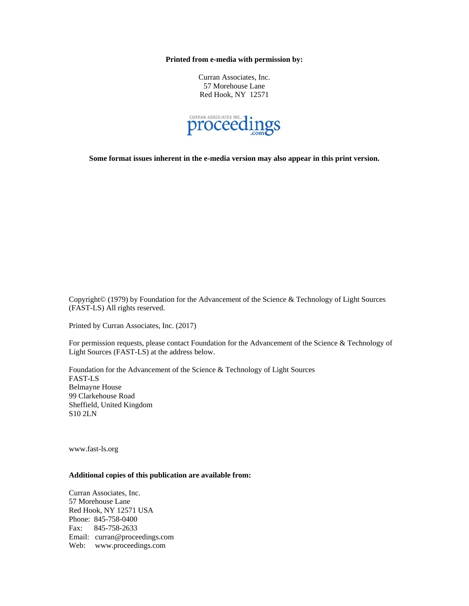**Printed from e-media with permission by:** 

Curran Associates, Inc. 57 Morehouse Lane Red Hook, NY 12571



**Some format issues inherent in the e-media version may also appear in this print version.** 

Copyright© (1979) by Foundation for the Advancement of the Science & Technology of Light Sources (FAST-LS) All rights reserved.

Printed by Curran Associates, Inc. (2017)

For permission requests, please contact Foundation for the Advancement of the Science & Technology of Light Sources (FAST-LS) at the address below.

Foundation for the Advancement of the Science & Technology of Light Sources FAST-LS Belmayne House 99 Clarkehouse Road Sheffield, United Kingdom S10 2LN

www.fast-ls.org

## **Additional copies of this publication are available from:**

Curran Associates, Inc. 57 Morehouse Lane Red Hook, NY 12571 USA Phone: 845-758-0400 Fax: 845-758-2633 Email: curran@proceedings.com Web: www.proceedings.com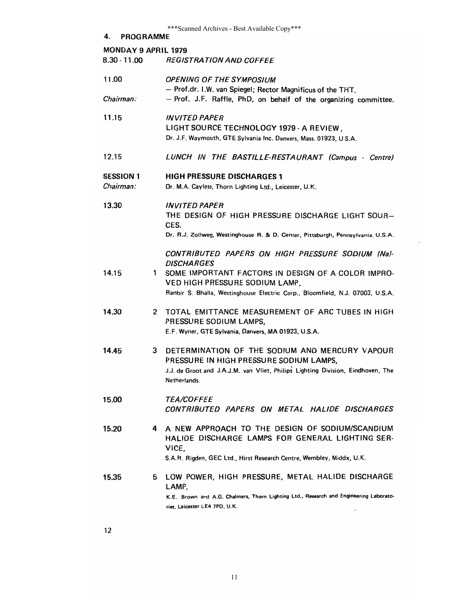|                                              |    | *** Scanned Archives - Best Available Copy***                                                       |  |
|----------------------------------------------|----|-----------------------------------------------------------------------------------------------------|--|
| 4.<br><b>PROGRAMME</b>                       |    |                                                                                                     |  |
| <b>MONDAY 9 APRIL 1979</b><br>$8.30 - 11.00$ |    | <i><b>REGISTRATION AND COFFEE</b></i>                                                               |  |
|                                              |    |                                                                                                     |  |
| 11.00                                        |    | <b>OPENING OF THE SYMPOSIUM</b>                                                                     |  |
|                                              |    | - Prof.dr. I.W. van Spiegel; Rector Magnificus of the THT.                                          |  |
| Chairman:                                    |    | - Prof. J.F. Raffle, PhD, on behalf of the organizing committee.                                    |  |
| 11.15                                        |    | <b>INVITED PAPER</b>                                                                                |  |
|                                              |    | LIGHT SOURCE TECHNOLOGY 1979 - A REVIEW,                                                            |  |
|                                              |    | Dr. J.F. Waymouth, GTE Sylvania Inc. Danvers, Mass. 01923, U.S.A.                                   |  |
| 12.15                                        |    | LUNCH IN THE BASTILLE-RESTAURANT (Campus - Centre)                                                  |  |
|                                              |    |                                                                                                     |  |
| <b>SESSION 1</b>                             |    | <b>HIGH PRESSURE DISCHARGES 1</b>                                                                   |  |
| Chairman:                                    |    | Dr. M.A. Cayless, Thorn Lighting Ltd., Leicester, U.K.                                              |  |
| 13.30                                        |    | <b>INVITED PAPER</b>                                                                                |  |
|                                              |    | THE DESIGN OF HIGH PRESSURE DISCHARGE LIGHT SOUR-                                                   |  |
|                                              |    | CES.                                                                                                |  |
|                                              |    | Dr. R.J. Zollweg, Westinghouse R. & D. Center, Pittsburgh, Pennsylvania, U.S.A.                     |  |
|                                              |    | CONTRIBUTED PAPERS ON HIGH PRESSURE SODIUM (Na)-                                                    |  |
|                                              |    | <b>DISCHARGES</b>                                                                                   |  |
| 14.15                                        | 1  | SOME IMPORTANT FACTORS IN DESIGN OF A COLOR IMPRO-                                                  |  |
|                                              |    | VED HIGH PRESSURE SODIUM LAMP,                                                                      |  |
|                                              |    | Ranbir S. Bhalla, Westinghouse Electric Corp., Bloomfield, N.J. 07003, U.S.A.                       |  |
| 14.30                                        | 2  | TOTAL EMITTANCE MEASUREMENT OF ARC TUBES IN HIGH                                                    |  |
|                                              |    | PRESSURE SODIUM LAMPS,                                                                              |  |
|                                              |    | E.F. Wyner, GTE Sylvania, Danvers, MA 01923, U.S.A.                                                 |  |
| 14.45                                        | 3  | DETERMINATION OF THE SODIUM AND MERCURY VAPOUR                                                      |  |
|                                              |    | PRESSURE IN HIGH PRESSURE SODIUM LAMPS,                                                             |  |
|                                              |    | J.J. de Groot and J.A.J.M. van Vliet, Philips Lighting Division, Eindhoven, The                     |  |
|                                              |    | Netherlands.                                                                                        |  |
| 15.00                                        |    | <i><b>TEA/COFFEE</b></i>                                                                            |  |
|                                              |    | CONTRIBUTED PAPERS ON METAL HALIDE DISCHARGES                                                       |  |
|                                              |    |                                                                                                     |  |
| 15.20                                        | 4  | A NEW APPROACH TO THE DESIGN OF SODIUM/SCANDIUM<br>HALIDE DISCHARGE LAMPS FOR GENERAL LIGHTING SER- |  |
|                                              |    | VICE,                                                                                               |  |
|                                              |    | S.A.R. Rigden, GEC Ltd., Hirst Research Centre, Wembley, Middx, U.K.                                |  |
|                                              |    |                                                                                                     |  |
| 15.35                                        | 5. | LOW POWER, HIGH PRESSURE, METAL HALIDE DISCHARGE<br>LAMP,                                           |  |
|                                              |    | K.E. Brown and A.G. Chalmers, Thorn Lighting Ltd., Research and Engineering Laborato-               |  |
|                                              |    | ries, Leicester LE4 7PD, U.K.                                                                       |  |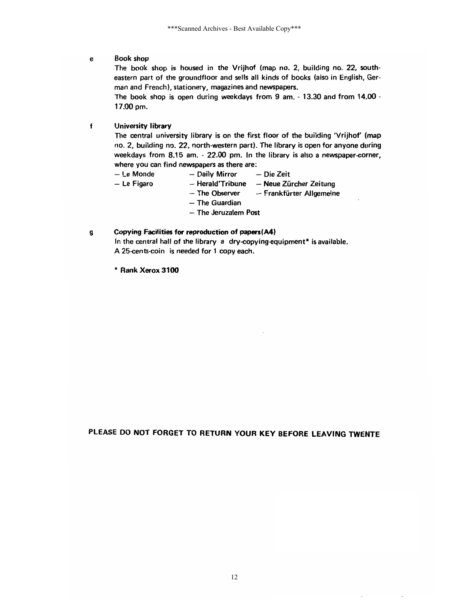#### **Book shop** e

The book shop is housed in the Vrijhof (map no. 2, building no. 22, southeastern part of the groundfloor and sells all kinds of books (also in English, German and French), stationery, magazines and newspapers.

The book shop is open during weekdays from 9 am. - 13.30 and from 14.00 -17.00 pm.

#### $f$ **University library**

The central university library is on the first floor of the building 'Vrijhof' (map no. 2, building no. 22, north-western part). The library is open for anyone during weekdays from 8.15 am. - 22.00 pm. In the library is also a newspaper-corner, where you can find newspapers as there are:

- Le Monde - Daily Mirror  $-$  Le Figaro

- Die Zeit
- Herald'Tribune Neue Zürcher Zeitung
- The Observer - Frankfürter Allgemeine
- $-$  The Guardian
- The Jeruzalem Post

#### Copying Facilities for reproduction of papers(A4) g

In the central hall of the library a dry-copying-equipment\* is available. A 25-cents-coin is needed for 1 copy each.

\* Rank Xerox 3100

# PLEASE DO NOT FORGET TO RETURN YOUR KEY BEFORE LEAVING TWENTE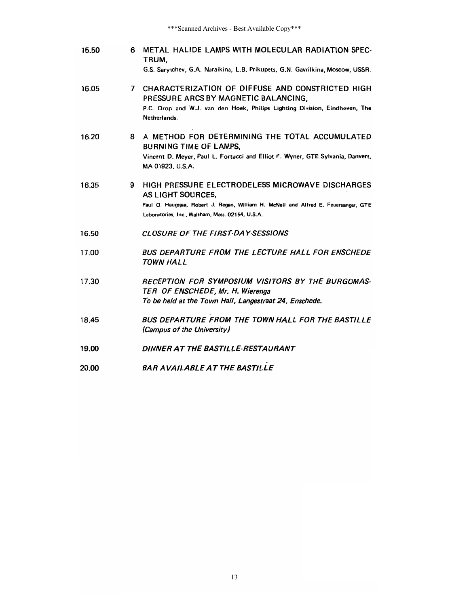\*\*\*Scanned Archives - Best Available Copy\*\*\*

- 6 METAL HALIDE LAMPS WITH MOLECULAR RADIATION SPEC-15.50 TRUM, G.S. Sarytchev, G.A. Naraikina, L.B. Prikupets, G.N. Gavrilkina, Moscow, USSR.
- 7 CHARACTERIZATION OF DIFFUSE AND CONSTRICTED HIGH 16.05 PRESSURE ARCS BY MAGNETIC BALANCING, P.C. Drop and W.J. van den Hoek, Philips Lighting Division, Eindhoven, The Netherlands.
- 8 A METHOD FOR DETERMINING THE TOTAL ACCUMULATED 16.20 **BURNING TIME OF LAMPS,** Vincent D. Meyer, Paul L. Fortucci and Elliot F. Wyner, GTE Sylvania, Danvers, MA 01923, U.S.A.
- 16.35 9 HIGH PRESSURE ELECTRODELESS MICROWAVE DISCHARGES AS LIGHT SOURCES, Paul O. Haugsjaa, Robert J. Regan, William H. McNeil and Alfred E. Feuersanger, GTE Laboratories, Inc., Waltham, Mass. 02154, U.S.A.
- CLOSURE OF THE FIRST-DAY-SESSIONS 16.50
- BUS DEPARTURE FROM THE LECTURE HALL FOR ENSCHEDE 17.00 TOWN HALL
- 17.30 RECEPTION FOR SYMPOSIUM VISITORS BY THE BURGOMAS-TER OF ENSCHEDE, Mr. H. Wierenga To be held at the Town Hall, Langestraat 24, Enschede.
- 18.45 BUS DEPARTURE FROM THE TOWN HALL FOR THE BASTILLE (Campus of the University)
- DINNER AT THE BASTILLE-RESTAURANT 19.00
- BAR AVAILABLE AT THE BASTILLE 20.00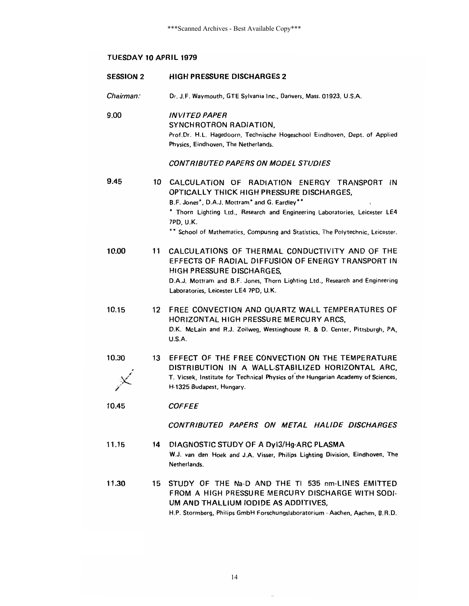# TUESDAY 10 APRIL 1979

| <b>SESSION 2</b> |    | <b>HIGH PRESSURE DISCHARGES 2</b>                                                                                                                                                                                                                           |
|------------------|----|-------------------------------------------------------------------------------------------------------------------------------------------------------------------------------------------------------------------------------------------------------------|
| Chairman:        |    | Dr. J.F. Waymouth, GTE Sylvania Inc., Danvers, Mass. 01923, U.S.A.                                                                                                                                                                                          |
| 9.00             |    | <b>INVITED PAPER</b><br>SYNCHROTRON RADIATION,<br>Prof.Dr. H.L. Hagedoorn, Technische Hogeschool Eindhoven, Dept. of Applied<br>Physics, Eindhoven, The Netherlands.                                                                                        |
|                  |    | CONTRIBUTED PAPERS ON MODEL STUDIES                                                                                                                                                                                                                         |
| 9.45             | 10 | CALCULATION OF RADIATION ENERGY TRANSPORT IN<br>OPTICALLY THICK HIGH PRESSURE DISCHARGES,<br>B.F. Jones*, D.A.J. Mottram* and G. Eardley**<br>* Thorn Lighting Ltd., Research and Engineering Laboratories, Leicester LE4<br>7PD, U.K.                      |
|                  |    | ** School of Mathematics, Computing and Statistics, The Polytechnic, Leicester.                                                                                                                                                                             |
| 10.00            | 11 | CALCULATIONS OF THERMAL CONDUCTIVITY AND OF THE<br>EFFECTS OF RADIAL DIFFUSION OF ENERGY TRANSPORT IN<br>HIGH PRESSURE DISCHARGES.<br>D.A.J. Mottram and B.F. Jones, Thorn Lighting Ltd., Research and Engineering<br>Laboratories, Leicester LE4 7PD, U.K. |
| 10.15            | 12 | FREE CONVECTION AND QUARTZ WALL TEMPERATURES OF<br>HORIZONTAL HIGH PRESSURE MERCURY ARCS,<br>D.K. McLain and R.J. Zollweg, Westinghouse R. & D. Center, Pittsburgh, PA,<br>U.S.A.                                                                           |
| 10.30            | 13 | EFFECT OF THE FREE CONVECTION ON THE TEMPERATURE<br>DISTRIBUTION IN A WALL-STABILIZED HORIZONTAL ARC,<br>T. Vicsek, Institute for Technical Physics of the Hungarian Academy of Sciences,<br>H-1325 Budapest, Hungary.                                      |
| 10.45            |    | <b>COFFEE</b>                                                                                                                                                                                                                                               |
|                  |    | CONTRIBUTED PAPERS ON METAL HALIDE DISCHARGES                                                                                                                                                                                                               |
| 11.15            | 14 | DIAGNOSTIC STUDY OF A DyI3/Hg-ARC PLASMA<br>W.J. van den Hoek and J.A. Visser, Philips Lighting Division, Eindhoven, The<br>Netherlands.                                                                                                                    |
| 11.30            | 15 | STUDY OF THE Na-D AND THE TI 535 nm-LINES EMITTED<br>FROM A HIGH PRESSURE MERCURY DISCHARGE WITH SODI-<br>UM AND THALLIUM IODIDE AS ADDITIVES,<br>H.P. Stormberg, Philips GmbH Forschungslaboratorium - Aachen, Aachen, B.R.D.                              |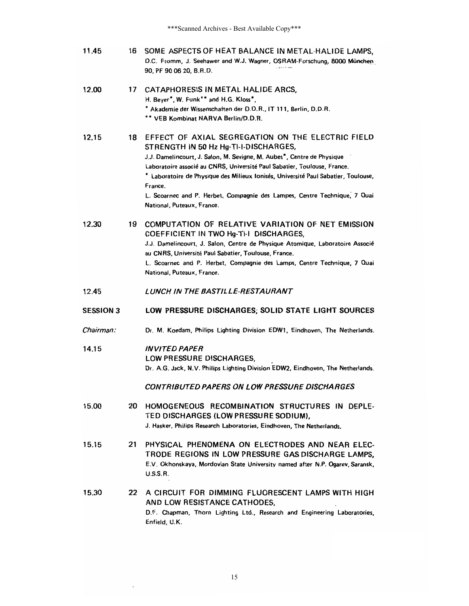16 SOME ASPECTS OF HEAT BALANCE IN METAL-HALIDE LAMPS, 11.45 D.C. Fromm, J. Seehawer and W.J. Wagner, OSRAM-Forschung, 8000 Munchen 90, PF 90 06 20, B.R.D.

| 12.00 | 17  | CATAPHORESIS IN METAL HALIDE ARCS,<br>H. Bever", W. Funk** and H.G. Kloss*.<br>* Akademie der Wissenschaften der D.D.R., IT 111, Berlin, D.D.R.<br>** VEB Kombinat NARVA Berlin/D.D.R.                                                                                                                                                                                                                                                                       |
|-------|-----|--------------------------------------------------------------------------------------------------------------------------------------------------------------------------------------------------------------------------------------------------------------------------------------------------------------------------------------------------------------------------------------------------------------------------------------------------------------|
| 12.15 | 18. | EFFECT OF AXIAL SEGREGATION ON THE ELECTRIC FIELD<br>STRENGTH IN 50 Hz Hg-TI-I-DISCHARGES,<br>J.J. Damelincourt, J. Salon, M. Sevigne, M. Aubes*, Centre de Physique<br>Laboratoire associé au CNRS, Université Paul Sabatier, Toulouse, France.<br>* Laboratoire de Physique des Milieux Ionisés, Université Paul Sabatier, Toulouse,<br>France.<br>L. Scoarnec and P. Herbet, Compagnie des Lampes, Centre Technique, 7 Quai<br>National, Puteaux, France. |

- 12.30 19 COMPUTATION OF RELATIVE VARIATION OF NET EMISSION COEFFICIENT IN TWO Hg-TI-I DISCHARGES, J.J. Damelincourt, J. Salon, Centre de Physique Atomique, Laboratoire Associé au CNRS, Université Paul Sabatier, Toulouse, France. L. Scoarnec and P. Herbet, Compagnie des Lamps, Centre Technique, 7 Quai National, Puteaux, France.
- 12.45 LUNCH IN THE BASTILLE-RESTAURANT
- **SESSION 3** LOW PRESSURE DISCHARGES; SOLID STATE LIGHT SOURCES
- Chairman: Dr. M. Koedam, Philips Lighting Division EDW1, Eindhoven, The Netherlands.
- 14.15 **INVITED PAPER** LOW PRESSURE DISCHARGES, Dr. A.G. Jack, N.V. Philips Lighting Division EDW2, Eindhoven, The Netherlands.

### **CONTRIBUTED PAPERS ON LOW PRESSURE DISCHARGES**

- 20 HOMOGENEOUS RECOMBINATION STRUCTURES IN DEPLE-15.00 TED DISCHARGES (LOW PRESSURE SODIUM), J. Hasker, Philips Research Laboratories, Eindhoven, The Netherlands.
- 15.15 21 PHYSICAL PHENOMENA ON ELECTRODES AND NEAR ELEC-TRODE REGIONS IN LOW PRESSURE GAS DISCHARGE LAMPS, E.V. Okhonskaya, Mordovian State University named after N.P. Ogarev, Saransk, **U.S.S.R.**
- 15.30 22 A CIRCUIT FOR DIMMING FLUORESCENT LAMPS WITH HIGH AND LOW RESISTANCE CATHODES. D.F. Chapman, Thorn Lighting Ltd., Research and Engineering Laboratories, Enfield, U.K.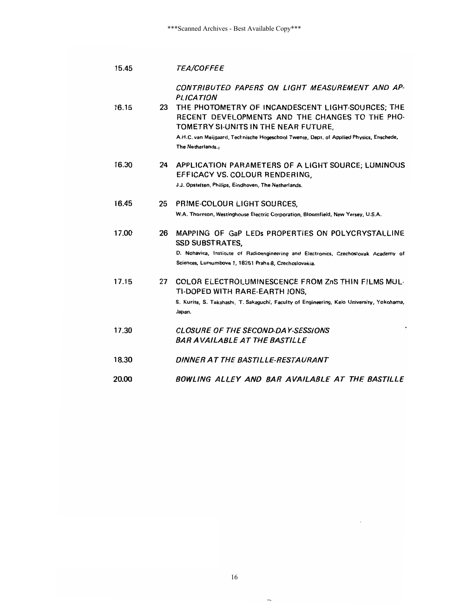| 15.45 |    | <i><b>TEA/COFFEE</b></i>                                                                                                                     |
|-------|----|----------------------------------------------------------------------------------------------------------------------------------------------|
|       |    | CONTRIBUTED PAPERS ON LIGHT MEASUREMENT AND AP-<br><b>PLICATION</b>                                                                          |
| 16.15 | 23 | THE PHOTOMETRY OF INCANDESCENT LIGHT-SOURCES; THE<br>RECENT DEVELOPMENTS AND THE CHANGES TO THE PHO-<br>TOMETRY SI-UNITS IN THE NEAR FUTURE, |
|       |    | A.H.C. van Meijgaard, Technische Hogeschool Twente, Dept. of Applied Physics, Enschede,<br>The Netherlands.                                  |
| 16.30 | 24 | APPLICATION PARAMETERS OF A LIGHT SOURCE; LUMINOUS<br>EFFICACY VS. COLOUR RENDERING,                                                         |
|       |    | J.J. Opstelten, Philips, Eindhoven, The Netherlands.                                                                                         |
| 16.45 | 25 | PRIME-COLOUR LIGHT SOURCES,                                                                                                                  |
|       |    | W.A. Thornton, Westinghouse Electric Corporation, Bloomfield, New Yersey, U.S.A.                                                             |
| 17.00 | 26 | MAPPING OF GaP LEDs PROPERTIES ON POLYCRYSTALLINE<br><b>SSD SUBSTRATES,</b>                                                                  |
|       |    | D. Nohavica, Institute of Radioengineering and Electronics, Czechoslovak Academy of<br>Sciences, Lumumbova 1, 18251 Praha 8, Czechoslovakia. |
| 17.15 | 27 | COLOR ELECTROLUMINESCENCE FROM ZnS THIN FILMS MUL-<br>TI-DOPED WITH RARE-EARTH IONS,                                                         |
|       |    | S. Kurita, S. Takahashi, T. Sakaguchi, Faculty of Engineering, Keio University, Yokohama,<br>Japan.                                          |
| 17.30 |    | <b>CLOSURE OF THE SECOND-DAY-SESSIONS</b><br>BAR AVAILABLE AT THE BASTILLE                                                                   |
|       |    |                                                                                                                                              |
| 18.30 |    | DINNER AT THE BASTILLE-RESTAURANT                                                                                                            |
| 20.00 |    | BOWLING ALLEY AND BAR AVAILABLE AT THE BASTILLE                                                                                              |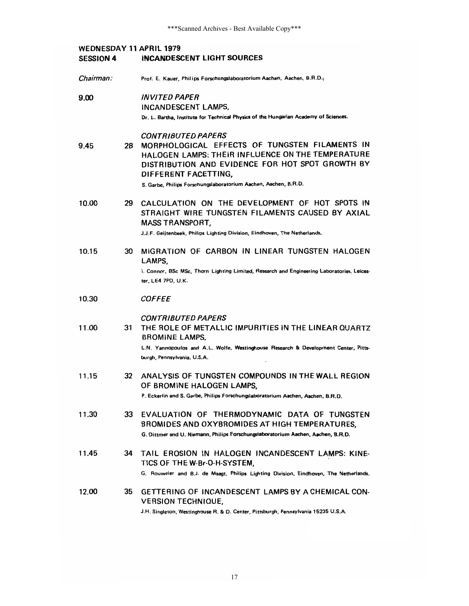| <b>WEDNESDAY 11 APRIL 1979</b><br><b>SESSION 4</b> | INCANDESCENT LIGHT SOURCES                                                                                                                                                                                                                                                      |
|----------------------------------------------------|---------------------------------------------------------------------------------------------------------------------------------------------------------------------------------------------------------------------------------------------------------------------------------|
| Chairman:                                          | Prof. E. Kauer, Philips Forschungslaboratorium Aachen, Aachen, B.R.D.;                                                                                                                                                                                                          |
| 9.00                                               | <b>INVITED PAPER</b><br>INCANDESCENT LAMPS,<br>Dr. L. Bartha, Institute for Technical Physics of the Hungarian Academy of Sciences.                                                                                                                                             |
| 28<br>9.45                                         | <b>CONTRIBUTED PAPERS</b><br>MORPHOLOGICAL EFFECTS OF TUNGSTEN FILAMENTS IN<br>HALOGEN LAMPS: THEIR INFLUENCE ON THE TEMPERATURE<br>DISTRIBUTION AND EVIDENCE FOR HOT SPOT GROWTH BY<br>DIFFERENT FACETTING,<br>S. Garbe, Philips Forschungslaboratorium Aachen, Aachen, B.R.D. |
| 10.00<br>29                                        | CALCULATION ON THE DEVELOPMENT OF HOT SPOTS IN<br>STRAIGHT WIRE TUNGSTEN FILAMENTS CAUSED BY AXIAL<br>MASS TRANSPORT,<br>J.J.F. Geijtenbeek, Philips Lighting Division, Eindhoven, The Netherlands,                                                                             |
| 10.15<br>30                                        | MIGRATION OF CARBON IN LINEAR TUNGSTEN HALOGEN<br>LAMPS,<br>I. Connor, BSc MSc, Thorn Lighting Limited, Research and Engineering Laboratories, Leices-<br>ter, LE4 7PD, U.K.                                                                                                    |
| 10.30                                              | <i>COFFEE</i>                                                                                                                                                                                                                                                                   |
| 11.00<br>31                                        | <b>CONTRIBUTED PAPERS</b><br>THE ROLE OF METALLIC IMPURITIES IN THE LINEAR QUARTZ<br><b>BROMINE LAMPS,</b><br>L.N. Yannopoulos and A.L. Wolfe, Westinghouse Research & Development Center. Pitts-<br>burgh, Pennsylvania, U.S.A.                                                |
| 11.15<br>32                                        | ANALYSIS OF TUNGSTEN COMPOUNDS IN THE WALL REGION<br>OF BROMINE HALOGEN LAMPS,<br>P. Eckerlin and S. Garbe, Philips Forschungslaboratorium Aachen, Aachen, B.R.D.                                                                                                               |
| 11.30<br>33                                        | EVALUATION OF THERMODYNAMIC DATA OF TUNGSTEN<br>BROMIDES AND OXYBROMIDES AT HIGH TEMPERATURES.<br>G. Dittmer and U. Niemann, Philips Forschungslaboratorium Aachen, Aachen, B.R.D.                                                                                              |
| 11.45<br>34                                        | TAIL EROSION IN HALOGEN INCANDESCENT LAMPS: KINE-<br>TICS OF THE W-Br-O-H-SYSTEM,<br>G. Rouweler and B.J. de Maagt, Philips Lighting Division, Eindhoven, The Netherlands.                                                                                                      |
| 12.00<br>35                                        | GETTERING OF INCANDESCENT LAMPS BY A CHEMICAL CON-<br><b>VERSION TECHNIQUE,</b><br>J.H. Singleton, Westinghouse R. & D. Center, Pittsburgh, Pennsylvania 15235 U.S.A.                                                                                                           |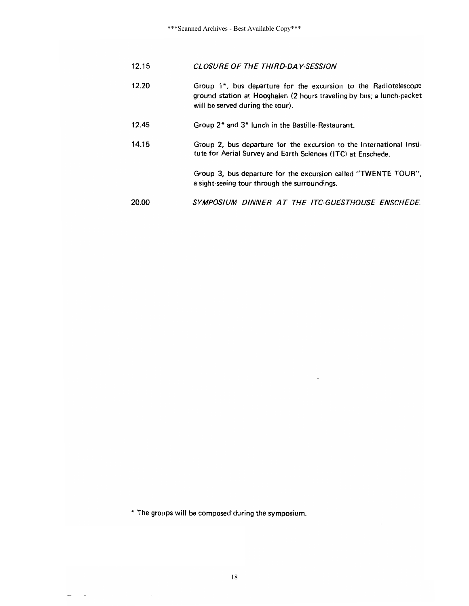|  | 12.15 | CLOSURE OF THE THIRD-DAY-SESSION |
|--|-------|----------------------------------|
|--|-------|----------------------------------|

- 12.20 Group 1\*, bus departure for the excursion to the Radiotelescope ground station at Hooghalen (2 hours traveling by bus; a lunch-packet will be served during the tour).
- 12.45 Group 2\* and 3\* lunch in the Bastille-Restaurant.
- 14.15 Group 2, bus departure for the excursion to the International Institute for Aerial Survey and Earth Sciences (ITC) at Enschede.

Group 3, bus departure for the excursion called "TWENTE TOUR", a sight-seeing tour through the surroundings.

20.00 SYMPOSIUM DINNER AT THE ITC-GUESTHOUSE ENSCHEDE.

\* The groups will be composed during the symposium.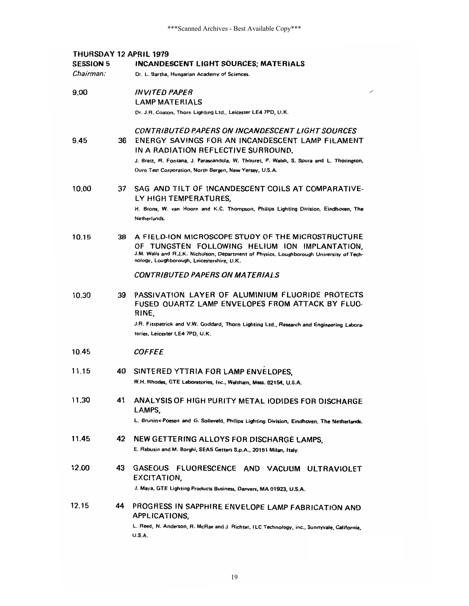| <b>THURSDAY 12 APRIL 1979</b><br><b>SESSION 5</b><br>INCANDESCENT LIGHT SOURCES; MATERIALS |     |                                                                                                                                                                                                                                                                                                    |
|--------------------------------------------------------------------------------------------|-----|----------------------------------------------------------------------------------------------------------------------------------------------------------------------------------------------------------------------------------------------------------------------------------------------------|
| Chairman:                                                                                  |     | Dr. L. Bartha, Hungarian Academy of Sciences.                                                                                                                                                                                                                                                      |
|                                                                                            |     |                                                                                                                                                                                                                                                                                                    |
| 9.00                                                                                       |     | <i><b>INVITED PAPER</b></i>                                                                                                                                                                                                                                                                        |
|                                                                                            |     | <b>LAMP MATERIALS</b>                                                                                                                                                                                                                                                                              |
|                                                                                            |     | Dr. J.R. Coaton, Thorn Lighting Ltd., Leicester LE4 7PD, U.K.                                                                                                                                                                                                                                      |
| 9.45                                                                                       | 36  | CONTRIBUTED PAPERS ON INCANDESCENT LIGHT SOURCES<br>ENERGY SAVINGS FOR AN INCANDESCENT LAMP FILAMENT<br>IN A RADIATION REFLECTIVE SURROUND,<br>J. Brett, R. Fontana, J. Parascandola, W. Thouret, P. Walsh, S. Spura and L. Thorington,<br>Duro Test Corporation, North Bergen, New Yersey, U.S.A. |
|                                                                                            |     |                                                                                                                                                                                                                                                                                                    |
| 10.00                                                                                      | 37  | SAG AND TILT OF INCANDESCENT COILS AT COMPARATIVE-<br>LY HIGH TEMPERATURES,                                                                                                                                                                                                                        |
|                                                                                            |     | H. Brons, W. van Hoorn and K.C. Thompson, Philips Lighting Division, Eindhoven, The<br>Netherlands.                                                                                                                                                                                                |
| 10.15                                                                                      | 38  | A FIELD-ION MICROSCOPE STUDY OF THE MICROSTRUCTURE<br>OF TUNGSTEN FOLLOWING HELIUM ION IMPLANTATION.<br>J.M. Walls and R.J.K. Nicholson, Department of Physics, Loughborough University of Tech-<br>nology, Loughborough, Leicestershire, U.K.                                                     |
|                                                                                            |     | CONTRIBUTED PAPERS ON MATERIALS                                                                                                                                                                                                                                                                    |
| 10.30                                                                                      | 39  | PASSIVATION LAYER OF ALUMINIUM FLUORIDE PROTECTS<br>FUSED QUARTZ LAMP ENVELOPES FROM ATTACK BY FLUO-<br>RINE,                                                                                                                                                                                      |
|                                                                                            |     | J.R. Fitzpatrick and V.W. Goddard, Thorn Lighting Ltd., Research and Engineering Labora-<br>tories, Leicester LE4 7PD, U.K.                                                                                                                                                                        |
| 10.45                                                                                      |     | <i>COFFEE</i>                                                                                                                                                                                                                                                                                      |
| 11.15                                                                                      | 40. | SINTERED YTTRIA FOR LAMP ENVELOPES.                                                                                                                                                                                                                                                                |
|                                                                                            |     | W.H. Rhodes, GTE Laboratories, Inc., Waltham, Mass. 02154, U.S.A.                                                                                                                                                                                                                                  |
| 11.30                                                                                      | 41  | ANALYSIS OF HIGH PURITY METAL IODIDES FOR DISCHARGE<br>LAMPS.<br>L. Bruninx-Poesen and G. Solleveld, Philips Lighting Division, Eindhoven, The Netherlands.                                                                                                                                        |
|                                                                                            |     |                                                                                                                                                                                                                                                                                                    |
| 11.45                                                                                      | 42  | NEW GETTERING ALLOYS FOR DISCHARGE LAMPS,<br>E. Rabusin and M. Borghi, SEAS Getters S.p.A., 20151 Milan, Italy.                                                                                                                                                                                    |
| 12.00                                                                                      | 43  | <b>GASEOUS</b><br>FLUORESCENCE AND VACUUM ULTRAVIOLET<br>EXCITATION,<br>J. Maya, GTE Lighting Products Business, Danvers, MA 01923, U.S.A.                                                                                                                                                         |
| 12.15                                                                                      | 44  | PROGRESS IN SAPPHIRE ENVELOPE LAMP FABRICATION AND<br>APPLICATIONS,<br>L. Reed, N. Anderson, R. McRae and J. Richter, ILC Technology, Inc., Sunnyvale, California,<br><b>U.S.A.</b>                                                                                                                |
|                                                                                            |     |                                                                                                                                                                                                                                                                                                    |